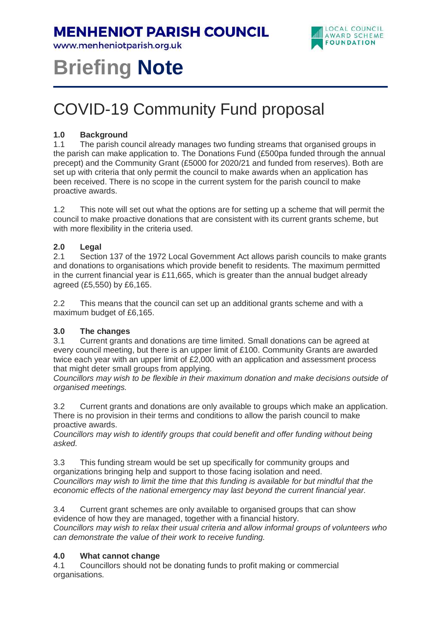**MENHENIOT PARISH COUNCIL** 

www.menheniotparish.org.uk



# **Briefing Note**

# COVID-19 Community Fund proposal

# **1.0 Background**

1.1 The parish council already manages two funding streams that organised groups in the parish can make application to. The Donations Fund (£500pa funded through the annual precept) and the Community Grant (£5000 for 2020/21 and funded from reserves). Both are set up with criteria that only permit the council to make awards when an application has been received. There is no scope in the current system for the parish council to make proactive awards.

1.2 This note will set out what the options are for setting up a scheme that will permit the council to make proactive donations that are consistent with its current grants scheme, but with more flexibility in the criteria used.

# **2.0 Legal**

2.1 Section 137 of the 1972 Local Government Act allows parish councils to make grants and donations to organisations which provide benefit to residents. The maximum permitted in the current financial year is £11,665, which is greater than the annual budget already agreed (£5,550) by £6,165.

2.2 This means that the council can set up an additional grants scheme and with a maximum budget of £6,165.

# **3.0 The changes**

3.1 Current grants and donations are time limited. Small donations can be agreed at every council meeting, but there is an upper limit of £100. Community Grants are awarded twice each year with an upper limit of £2,000 with an application and assessment process that might deter small groups from applying.

Councillors may wish to be flexible in their maximum donation and make decisions outside of organised meetings.

3.2 Current grants and donations are only available to groups which make an application. There is no provision in their terms and conditions to allow the parish council to make proactive awards.

Councillors may wish to identify groups that could benefit and offer funding without being asked.

3.3 This funding stream would be set up specifically for community groups and organizations bringing help and support to those facing isolation and need. Councillors may wish to limit the time that this funding is available for but mindful that the economic effects of the national emergency may last beyond the current financial year.

3.4 Current grant schemes are only available to organised groups that can show evidence of how they are managed, together with a financial history. Councillors may wish to relax their usual criteria and allow informal groups of volunteers who can demonstrate the value of their work to receive funding.

# **4.0 What cannot change**

4.1 Councillors should not be donating funds to profit making or commercial organisations.